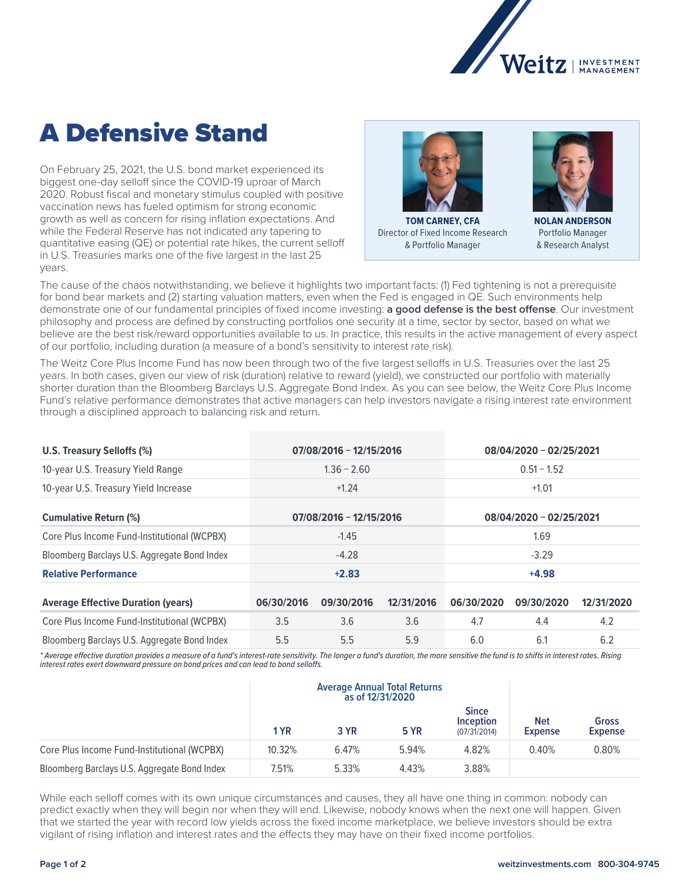

## A Defensive Stand

On February 25, 2021, the U.S. bond market experienced its biggest one-day selloff since the COVID-19 uproar of March 2020. Robust fiscal and monetary stimulus coupled with positive vaccination news has fueled optimism for strong economic growth as well as concern for rising inflation expectations. And while the Federal Reserve has not indicated any tapering to quantitative easing (QE) or potential rate hikes, the current selloff in U.S. Treasuries marks one of the five largest in the last 25 years.



**TOM CARNEY, CFA** Director of Fixed Income Research & Portfolio Manager



**NOLAN ANDERSON** Portfolio Manager & Research Analyst

The cause of the chaos notwithstanding, we believe it highlights two important facts: (1) Fed tightening is not a prerequisite for bond bear markets and (2) starting valuation matters, even when the Fed is engaged in QE. Such environments help demonstrate one of our fundamental principles of fixed income investing: **a good defense is the best offense**. Our investment philosophy and process are defined by constructing portfolios one security at a time, sector by sector, based on what we believe are the best risk/reward opportunities available to us. In practice, this results in the active management of every aspect of our portfolio, including duration (a measure of a bond's sensitivity to interest rate risk).

The Weitz Core Plus Income Fund has now been through two of the five largest selloffs in U.S. Treasuries over the last 25 years. In both cases, given our view of risk (duration) relative to reward (yield), we constructed our portfolio with materially shorter duration than the Bloomberg Barclays U.S. Aggregate Bond Index. As you can see below, the Weitz Core Plus Income Fund's relative performance demonstrates that active managers can help investors navigate a rising interest rate environment through a disciplined approach to balancing risk and return.

| U.S. Treasury Selloffs (%)                   |                           | $07/08/2016 - 12/15/2016$ |            | $08/04/2020 - 02/25/2021$ |            |            |  |
|----------------------------------------------|---------------------------|---------------------------|------------|---------------------------|------------|------------|--|
| 10-year U.S. Treasury Yield Range            |                           | $1.36 - 2.60$             |            | $0.51 - 1.52$             |            |            |  |
| 10-year U.S. Treasury Yield Increase         | $+1.24$                   |                           |            | $+1.01$                   |            |            |  |
| <b>Cumulative Return (%)</b>                 | $07/08/2016 - 12/15/2016$ |                           |            | $08/04/2020 - 02/25/2021$ |            |            |  |
| Core Plus Income Fund-Institutional (WCPBX)  |                           | $-1.45$                   |            | 1.69                      |            |            |  |
| Bloomberg Barclays U.S. Aggregate Bond Index |                           | $-4.28$                   |            | $-3.29$                   |            |            |  |
| <b>Relative Performance</b>                  | $+2.83$                   |                           |            | $+4.98$                   |            |            |  |
| <b>Average Effective Duration (years)</b>    | 06/30/2016                | 09/30/2016                | 12/31/2016 | 06/30/2020                | 09/30/2020 | 12/31/2020 |  |
| Core Plus Income Fund-Institutional (WCPBX)  | 3.5                       | 3.6                       | 3.6        | 4.7                       | 4.4        | 4.2        |  |

Bloomberg Barclays U.S. Aggregate Bond Index  $5.5$  5.5 5.9 6.0 6.1 6.2 *\* Average effective duration provides a measure of a fund's interest-rate sensitivity. The longer a fund's duration, the more sensitive the fund is to shifts in interest rates. Rising* 

*interest rates exert downward pressure on bond prices and can lead to bond selloffs.*

|                                              |        | <b>Average Annual Total Returns</b><br>as of 12/31/2020 |       |                                           |                              |                                |
|----------------------------------------------|--------|---------------------------------------------------------|-------|-------------------------------------------|------------------------------|--------------------------------|
|                                              | 1 YR   | 3 YR                                                    | 5 YR  | <b>Since</b><br>Inception<br>(07/31/2014) | <b>Net</b><br><b>Expense</b> | <b>Gross</b><br><b>Expense</b> |
| Core Plus Income Fund-Institutional (WCPBX)  | 10.32% | 6.47%                                                   | 5.94% | 4.82%                                     | 0.40%                        | 0.80%                          |
| Bloomberg Barclays U.S. Aggregate Bond Index | 7.51%  | 5.33%                                                   | 4.43% | 3.88%                                     |                              |                                |

While each selloff comes with its own unique circumstances and causes, they all have one thing in common: nobody can predict exactly when they will begin nor when they will end. Likewise, nobody knows when the next one will happen. Given that we started the year with record low yields across the fixed income marketplace, we believe investors should be extra vigilant of rising inflation and interest rates and the effects they may have on their fixed income portfolios.